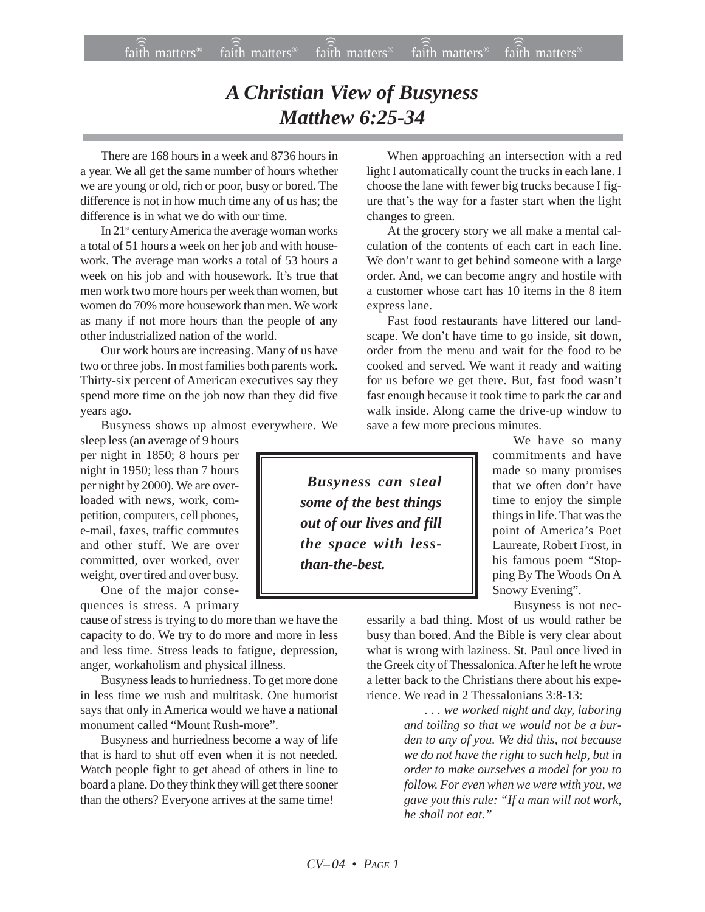## *A Christian View of Busyness Matthew 6:25-34*

There are 168 hours in a week and 8736 hours in a year. We all get the same number of hours whether we are young or old, rich or poor, busy or bored. The difference is not in how much time any of us has; the difference is in what we do with our time.

In 21st century America the average woman works a total of 51 hours a week on her job and with housework. The average man works a total of 53 hours a week on his job and with housework. It's true that men work two more hours per week than women, but women do 70% more housework than men. We work as many if not more hours than the people of any other industrialized nation of the world.

Our work hours are increasing. Many of us have two or three jobs. In most families both parents work. Thirty-six percent of American executives say they spend more time on the job now than they did five years ago.

Busyness shows up almost everywhere. We

sleep less (an average of 9 hours per night in 1850; 8 hours per night in 1950; less than 7 hours per night by 2000). We are overloaded with news, work, competition, computers, cell phones, e-mail, faxes, traffic commutes and other stuff. We are over committed, over worked, over weight, over tired and over busy.

One of the major consequences is stress. A primary

cause of stress is trying to do more than we have the capacity to do. We try to do more and more in less and less time. Stress leads to fatigue, depression, anger, workaholism and physical illness.

Busyness leads to hurriedness. To get more done in less time we rush and multitask. One humorist says that only in America would we have a national monument called "Mount Rush-more".

Busyness and hurriedness become a way of life that is hard to shut off even when it is not needed. Watch people fight to get ahead of others in line to board a plane. Do they think they will get there sooner than the others? Everyone arrives at the same time!

When approaching an intersection with a red light I automatically count the trucks in each lane. I choose the lane with fewer big trucks because I figure that's the way for a faster start when the light changes to green.

At the grocery story we all make a mental calculation of the contents of each cart in each line. We don't want to get behind someone with a large order. And, we can become angry and hostile with a customer whose cart has 10 items in the 8 item express lane.

Fast food restaurants have littered our landscape. We don't have time to go inside, sit down, order from the menu and wait for the food to be cooked and served. We want it ready and waiting for us before we get there. But, fast food wasn't fast enough because it took time to park the car and walk inside. Along came the drive-up window to save a few more precious minutes.

 *Busyness can steal some of the best things out of our lives and fill the space with lessthan-the-best.*

We have so many commitments and have made so many promises that we often don't have time to enjoy the simple things in life. That was the point of America's Poet Laureate, Robert Frost, in his famous poem "Stopping By The Woods On A Snowy Evening".

Busyness is not nec-

essarily a bad thing. Most of us would rather be busy than bored. And the Bible is very clear about what is wrong with laziness. St. Paul once lived in the Greek city of Thessalonica. After he left he wrote a letter back to the Christians there about his experience. We read in 2 Thessalonians 3:8-13:

> *. . . we worked night and day, laboring and toiling so that we would not be a burden to any of you. We did this, not because we do not have the right to such help, but in order to make ourselves a model for you to follow. For even when we were with you, we gave you this rule: "If a man will not work, he shall not eat."*

*CV– 04 • PAGE 1*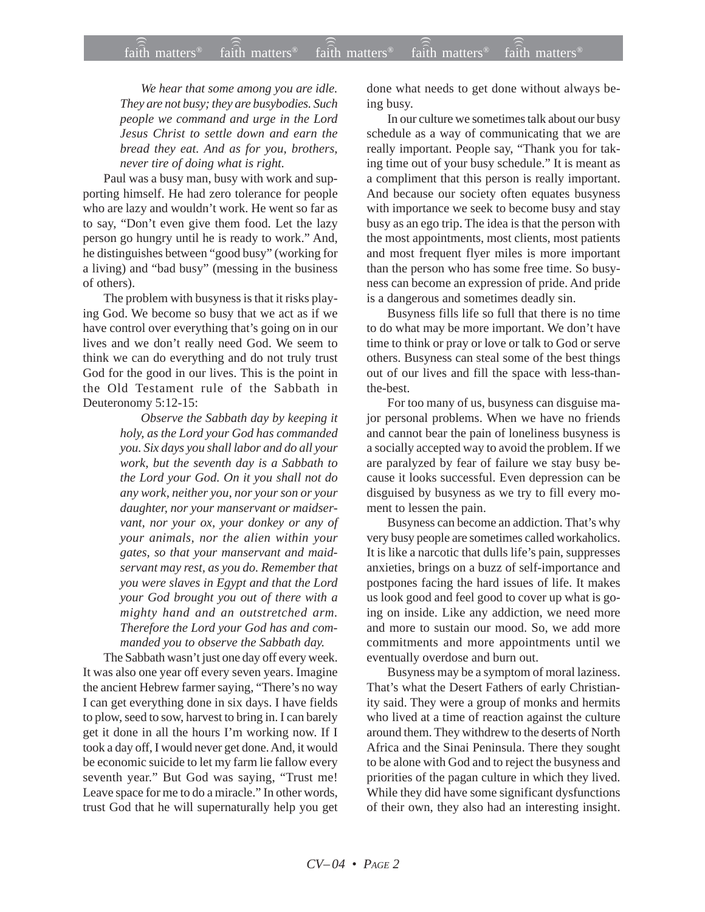*We hear that some among you are idle. They are not busy; they are busybodies. Such people we command and urge in the Lord Jesus Christ to settle down and earn the bread they eat. And as for you, brothers, never tire of doing what is right.*

Paul was a busy man, busy with work and supporting himself. He had zero tolerance for people who are lazy and wouldn't work. He went so far as to say, "Don't even give them food. Let the lazy person go hungry until he is ready to work." And, he distinguishes between "good busy" (working for a living) and "bad busy" (messing in the business of others).

The problem with busyness is that it risks playing God. We become so busy that we act as if we have control over everything that's going on in our lives and we don't really need God. We seem to think we can do everything and do not truly trust God for the good in our lives. This is the point in the Old Testament rule of the Sabbath in Deuteronomy 5:12-15:

> *Observe the Sabbath day by keeping it holy, as the Lord your God has commanded you. Six days you shall labor and do all your work, but the seventh day is a Sabbath to the Lord your God. On it you shall not do any work, neither you, nor your son or your daughter, nor your manservant or maidservant, nor your ox, your donkey or any of your animals, nor the alien within your gates, so that your manservant and maidservant may rest, as you do. Remember that you were slaves in Egypt and that the Lord your God brought you out of there with a mighty hand and an outstretched arm. Therefore the Lord your God has and commanded you to observe the Sabbath day.*

The Sabbath wasn't just one day off every week. It was also one year off every seven years. Imagine the ancient Hebrew farmer saying, "There's no way I can get everything done in six days. I have fields to plow, seed to sow, harvest to bring in. I can barely get it done in all the hours I'm working now. If I took a day off, I would never get done. And, it would be economic suicide to let my farm lie fallow every seventh year." But God was saying, "Trust me! Leave space for me to do a miracle." In other words, trust God that he will supernaturally help you get done what needs to get done without always being busy.

In our culture we sometimes talk about our busy schedule as a way of communicating that we are really important. People say, "Thank you for taking time out of your busy schedule." It is meant as a compliment that this person is really important. And because our society often equates busyness with importance we seek to become busy and stay busy as an ego trip. The idea is that the person with the most appointments, most clients, most patients and most frequent flyer miles is more important than the person who has some free time. So busyness can become an expression of pride. And pride is a dangerous and sometimes deadly sin.

Busyness fills life so full that there is no time to do what may be more important. We don't have time to think or pray or love or talk to God or serve others. Busyness can steal some of the best things out of our lives and fill the space with less-thanthe-best.

For too many of us, busyness can disguise major personal problems. When we have no friends and cannot bear the pain of loneliness busyness is a socially accepted way to avoid the problem. If we are paralyzed by fear of failure we stay busy because it looks successful. Even depression can be disguised by busyness as we try to fill every moment to lessen the pain.

Busyness can become an addiction. That's why very busy people are sometimes called workaholics. It is like a narcotic that dulls life's pain, suppresses anxieties, brings on a buzz of self-importance and postpones facing the hard issues of life. It makes us look good and feel good to cover up what is going on inside. Like any addiction, we need more and more to sustain our mood. So, we add more commitments and more appointments until we eventually overdose and burn out.

Busyness may be a symptom of moral laziness. That's what the Desert Fathers of early Christianity said. They were a group of monks and hermits who lived at a time of reaction against the culture around them. They withdrew to the deserts of North Africa and the Sinai Peninsula. There they sought to be alone with God and to reject the busyness and priorities of the pagan culture in which they lived. While they did have some significant dysfunctions of their own, they also had an interesting insight.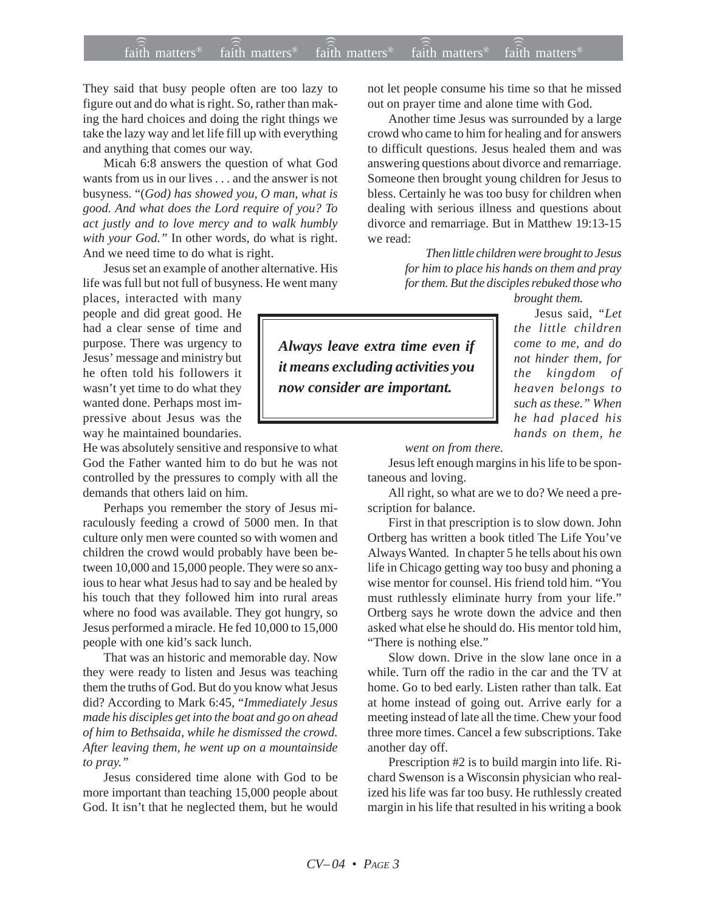## $\widehat{\widehat{\tilde{\mathfrak{A}}}}$  matters®  $\widehat{\tilde{\tilde{\mathfrak{A}}}}$  matters®  $\widehat{\tilde{\tilde{\mathfrak{A}}}}$  matters®  $\widehat{\tilde{\tilde{\mathfrak{A}}}}$  matters®  $\widehat{\tilde{\tilde{\mathfrak{A}}}}$  matters® faith matters<sup>®</sup> faith matters<sup>®</sup> faith matters<sup> $\epsilon$ </sup>

They said that busy people often are too lazy to figure out and do what is right. So, rather than making the hard choices and doing the right things we take the lazy way and let life fill up with everything and anything that comes our way.

Micah 6:8 answers the question of what God wants from us in our lives . . . and the answer is not busyness. "(*God) has showed you, O man, what is good. And what does the Lord require of you? To act justly and to love mercy and to walk humbly with your God."* In other words, do what is right. And we need time to do what is right.

Jesus set an example of another alternative. His life was full but not full of busyness. He went many

places, interacted with many people and did great good. He had a clear sense of time and purpose. There was urgency to Jesus' message and ministry but he often told his followers it wasn't yet time to do what they wanted done. Perhaps most impressive about Jesus was the way he maintained boundaries.

He was absolutely sensitive and responsive to what God the Father wanted him to do but he was not controlled by the pressures to comply with all the demands that others laid on him.

Perhaps you remember the story of Jesus miraculously feeding a crowd of 5000 men. In that culture only men were counted so with women and children the crowd would probably have been between 10,000 and 15,000 people. They were so anxious to hear what Jesus had to say and be healed by his touch that they followed him into rural areas where no food was available. They got hungry, so Jesus performed a miracle. He fed 10,000 to 15,000 people with one kid's sack lunch.

That was an historic and memorable day. Now they were ready to listen and Jesus was teaching them the truths of God. But do you know what Jesus did? According to Mark 6:45, "*Immediately Jesus made his disciples get into the boat and go on ahead of him to Bethsaida, while he dismissed the crowd. After leaving them, he went up on a mountainside to pray."*

Jesus considered time alone with God to be more important than teaching 15,000 people about God. It isn't that he neglected them, but he would not let people consume his time so that he missed out on prayer time and alone time with God.

Another time Jesus was surrounded by a large crowd who came to him for healing and for answers to difficult questions. Jesus healed them and was answering questions about divorce and remarriage. Someone then brought young children for Jesus to bless. Certainly he was too busy for children when dealing with serious illness and questions about divorce and remarriage. But in Matthew 19:13-15 we read:

> *Then little children were brought to Jesus for him to place his hands on them and pray for them. But the disciples rebuked those who brought them.*

Jesus said, *"Let*

*the little children come to me, and do not hinder them, for the kingdom of heaven belongs to such as these." When he had placed his hands on them, he*

*Always leave extra time even if it means excluding activities you now consider are important.*

*went on from there.*

Jesus left enough margins in his life to be spontaneous and loving.

All right, so what are we to do? We need a prescription for balance.

First in that prescription is to slow down. John Ortberg has written a book titled The Life You've Always Wanted*.* In chapter 5 he tells about his own life in Chicago getting way too busy and phoning a wise mentor for counsel. His friend told him. "You must ruthlessly eliminate hurry from your life." Ortberg says he wrote down the advice and then asked what else he should do. His mentor told him, "There is nothing else."

Slow down. Drive in the slow lane once in a while. Turn off the radio in the car and the TV at home. Go to bed early. Listen rather than talk. Eat at home instead of going out. Arrive early for a meeting instead of late all the time. Chew your food three more times. Cancel a few subscriptions. Take another day off.

Prescription #2 is to build margin into life. Richard Swenson is a Wisconsin physician who realized his life was far too busy. He ruthlessly created margin in his life that resulted in his writing a book